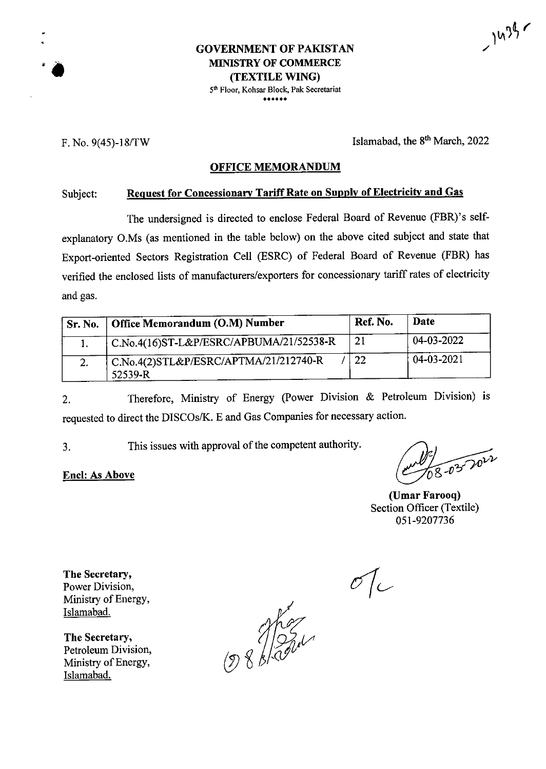$2^{1434}$ 

# **GOVERNMENT OF PAKISTAN**<br> **MINISTRY OF COMMERCE**<br> **i (TEXTILE WING)**

5th Floor, Kohsar Block, Pak Secretariat \*\*\*\*\*\*

F. No. **9(45)-18/TW** Islamabad, the 8th March, 2022

## **OFFICE MEMORANDUM**

## Subject: **Request for Concessionary TariffRate on Supply ofElectricity and Gas**

The undersigned is directed to enclose Federal Board of Revenue (FBR)'s selfexplanatory O.Ms (as mentioned in the table below) on the above cited subject and state that Export-oriented Sectors Registration Cell (ESRC) of Federal Board of Revenue (FBR) has verified the enclosed lists of manufacturers/exporters for concessionary tariffrates of electricity and gas.

| <b>Sr. No.</b> | Office Memorandum (O.M) Number                     | Ref. No. | Date       |  |
|----------------|----------------------------------------------------|----------|------------|--|
|                | C.No.4(16)ST-L&P/ESRC/APBUMA/21/52538-R            | 21       | 04-03-2022 |  |
| -2.            | ' C.No.4(2)STL&P/ESRC/APTMA/21/212740-R<br>52539-R | 22       | 04-03-2021 |  |

Therefore, Ministry of Energy (Power Division & Petroleum Division) is requested to direct the DISCOs/K. E and Gas Companies for necessary action. 2.

This issues with approval of the competent authority. 3.

**(Umar Farooq)** Section Officer (Textile) 051-9207736

**The Secretary,** Power Division, Ministry of Energy, Islamabad.

**Enel: As Above**

**The Secretary,** Petroleum Division, Ministry of Energy, Islamabad.

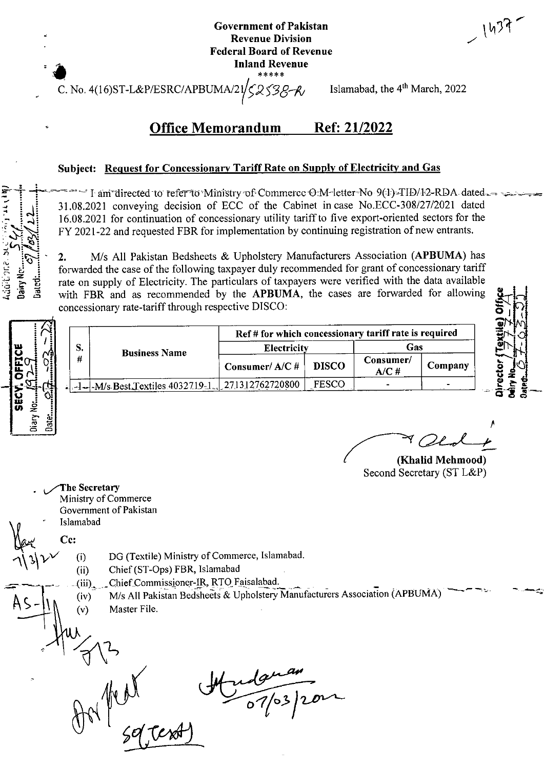| <b>Government of Pakistan</b>   |  |  |  |  |  |
|---------------------------------|--|--|--|--|--|
| <b>Revenue Division</b>         |  |  |  |  |  |
| <b>Federal Board of Revenue</b> |  |  |  |  |  |
| <b>Inland Revenue</b>           |  |  |  |  |  |
| *****                           |  |  |  |  |  |

 $(437)$ 

C. No. 4(16)ST-L&P/ESRC/APBUMA/21 2538-R

Islamabad, the 4<sup>th</sup> March, 2022

### **Office Memorandum** Ref: 21/2022

## Subject: Request for Concessionary Tariff Rate on Supply of Electricity and Gas

I am directed to refer to Ministry of Commerce O.M-letter No 9(4)-TID/12-RDA dated 31.08.2021 conveying decision of ECC of the Cabinet in case No.ECC-308/27/2021 dated 16.08.2021 for continuation of concessionary utility tariff to five export-oriented sectors for the FY 2021-22 and requested FBR for implementation by continuing registration of new entrants.

M/s All Pakistan Bedsheets & Upholstery Manufacturers Association (APBUMA) has 2. forwarded the case of the following taxpayer duly recommended for grant of concessionary tariff rate on supply of Electricity. The particulars of taxpayers were verified with the data available with FBR and as recommended by the APBUMA, the cases are forwarded for allowing concessionary rate-tariff through respective DISCO:

Consumer/A/C#

271312762720800

Electricity

Ref # for which concessionary tariff rate is required

**DISCO** 

**FESCO** 

Gas

Company

Consumer/

 $A/C$ #

(Khalid Mehmood) Second Secretary (ST L&P)

The Secretary Ministry of Commerce Government of Pakistan Islamabad

Cc:

 $(i)$ 

 $(ii)$ 

 $(iv)$ 

 $(v)$ 

S.

#

addibona.

Jairy 1 Jaicti

DG (Textile) Ministry of Commerce, Islamabad.

Chief (ST-Ops) FBR, Islamabad

**Business Name** 

 $-1$ - $M/s$  Best Textiles 4032719-1.

Chief Commissioner-IR, RTO Faisalabad.  $(iii)$ 

M/s All Pakistan Bedsheets & Upholstery Manufacturers Association (APBUMA) Master File.

 $\frac{10^{10}}{103}$